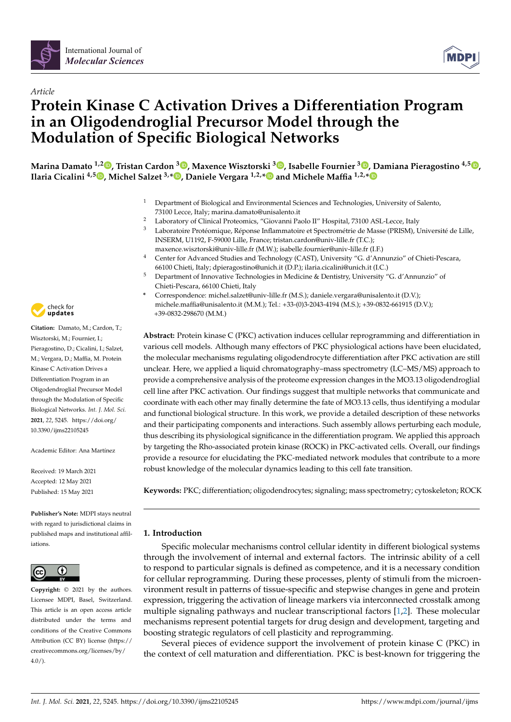

# *Article* **Protein Kinase C Activation Drives a Differentiation Program in an Oligodendroglial Precursor Model through the Modulation of Specific Biological Networks**

**Marina Damato 1,2 , Tristan Cardon <sup>3</sup> , Maxence Wisztorski <sup>3</sup> , Isabelle Fournier <sup>3</sup> , Damiana Pieragostino 4,5 , Ilaria Cicalini 4,5 , Michel Salzet 3,\* , Daniele Vergara 1,2,\* and Michele Maffia 1,2,\***

- <sup>1</sup> Department of Biological and Environmental Sciences and Technologies, University of Salento, 73100 Lecce, Italy; marina.damato@unisalento.it
- <sup>2</sup> Laboratory of Clinical Proteomics, "Giovanni Paolo II" Hospital, 73100 ASL-Lecce, Italy
- <sup>3</sup> Laboratoire Protéomique, Réponse Inflammatoire et Spectrométrie de Masse (PRISM), Université de Lille, INSERM, U1192, F-59000 Lille, France; tristan.cardon@univ-lille.fr (T.C.); maxence.wisztorski@univ-lille.fr (M.W.); isabelle.fournier@univ-lille.fr (I.F.)
- <sup>4</sup> Center for Advanced Studies and Technology (CAST), University "G. d'Annunzio" of Chieti-Pescara, 66100 Chieti, Italy; dpieragostino@unich.it (D.P.); ilaria.cicalini@unich.it (I.C.)
- <sup>5</sup> Department of Innovative Technologies in Medicine & Dentistry, University "G. d'Annunzio" of Chieti-Pescara, 66100 Chieti, Italy
- **\*** Correspondence: michel.salzet@univ-lille.fr (M.S.); daniele.vergara@unisalento.it (D.V.); michele.maffia@unisalento.it (M.M.); Tel.: +33-(0)3-2043-4194 (M.S.); +39-0832-661915 (D.V.); +39-0832-298670 (M.M.)

**Abstract:** Protein kinase C (PKC) activation induces cellular reprogramming and differentiation in various cell models. Although many effectors of PKC physiological actions have been elucidated, the molecular mechanisms regulating oligodendrocyte differentiation after PKC activation are still unclear. Here, we applied a liquid chromatography–mass spectrometry (LC–MS/MS) approach to provide a comprehensive analysis of the proteome expression changes in the MO3.13 oligodendroglial cell line after PKC activation. Our findings suggest that multiple networks that communicate and coordinate with each other may finally determine the fate of MO3.13 cells, thus identifying a modular and functional biological structure. In this work, we provide a detailed description of these networks and their participating components and interactions. Such assembly allows perturbing each module, thus describing its physiological significance in the differentiation program. We applied this approach by targeting the Rho-associated protein kinase (ROCK) in PKC-activated cells. Overall, our findings provide a resource for elucidating the PKC-mediated network modules that contribute to a more robust knowledge of the molecular dynamics leading to this cell fate transition.

**Keywords:** PKC; differentiation; oligodendrocytes; signaling; mass spectrometry; cytoskeleton; ROCK

# **1. Introduction**

Specific molecular mechanisms control cellular identity in different biological systems through the involvement of internal and external factors. The intrinsic ability of a cell to respond to particular signals is defined as competence, and it is a necessary condition for cellular reprogramming. During these processes, plenty of stimuli from the microenvironment result in patterns of tissue-specific and stepwise changes in gene and protein expression, triggering the activation of lineage markers via interconnected crosstalk among multiple signaling pathways and nuclear transcriptional factors [1,2]. These molecular mechanisms represent potential targets for drug design and development, targeting and boosting strategic regulators of cell plasticity and reprogramming.

Several pieces of evidence support the involvement of protein kinase C (PKC) in the context of cell maturation and differentiation. PKC is best-known for triggering the



**Citation:** Damato, M.; Cardon, T.; Wisztorski, M.; Fournier, I.; Pieragostino, D.; Cicalini, I.; Salzet, M.; Vergara, D.; Maffia, M. Protein Kinase C Activation Drives a Differentiation Program in an Oligodendroglial Precursor Model through the Modulation of Specific Biological Networks. *Int. J. Mol. Sci.* **2021**, *22*, 5245. https://doi.org/ 10.3390/ijms22105245

Academic Editor: Ana Martínez

Received: 19 March 2021 Accepted: 12 May 2021 Published: 15 May 2021

**Publisher's Note:** MDPI stays neutral with regard to jurisdictional claims in published maps and institutional affiliations.



**Copyright:** © 2021 by the authors. Licensee MDPI, Basel, Switzerland. This article is an open access article distributed under the terms and conditions of the Creative Commons Attribution (CC BY) license (https:// creativecommons.org/licenses/by/ 4.0/).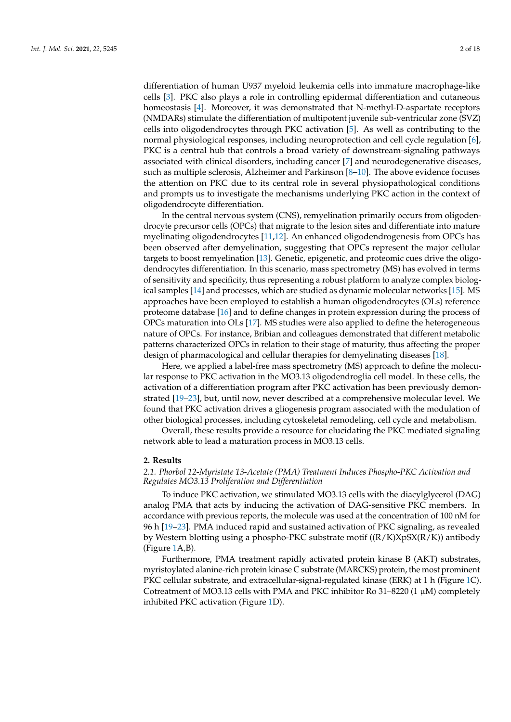differentiation of human U937 myeloid leukemia cells into immature macrophage-like cells [3]. PKC also plays a role in controlling epidermal differentiation and cutaneous homeostasis [4]. Moreover, it was demonstrated that N-methyl-D-aspartate receptors (NMDARs) stimulate the differentiation of multipotent juvenile sub-ventricular zone (SVZ) cells into oligodendrocytes through PKC activation [5]. As well as contributing to the normal physiological responses, including neuroprotection and cell cycle regulation [6], PKC is a central hub that controls a broad variety of downstream-signaling pathways associated with clinical disorders, including cancer [7] and neurodegenerative diseases, such as multiple sclerosis, Alzheimer and Parkinson [8–10]. The above evidence focuses the attention on PKC due to its central role in several physiopathological conditions and prompts us to investigate the mechanisms underlying PKC action in the context of oligodendrocyte differentiation.

In the central nervous system (CNS), remyelination primarily occurs from oligodendrocyte precursor cells (OPCs) that migrate to the lesion sites and differentiate into mature myelinating oligodendrocytes [11,12]. An enhanced oligodendrogenesis from OPCs has been observed after demyelination, suggesting that OPCs represent the major cellular targets to boost remyelination [13]. Genetic, epigenetic, and proteomic cues drive the oligodendrocytes differentiation. In this scenario, mass spectrometry (MS) has evolved in terms of sensitivity and specificity, thus representing a robust platform to analyze complex biological samples [14] and processes, which are studied as dynamic molecular networks [15]. MS approaches have been employed to establish a human oligodendrocytes (OLs) reference proteome database [16] and to define changes in protein expression during the process of OPCs maturation into OLs [17]. MS studies were also applied to define the heterogeneous nature of OPCs. For instance, Bribian and colleagues demonstrated that different metabolic patterns characterized OPCs in relation to their stage of maturity, thus affecting the proper design of pharmacological and cellular therapies for demyelinating diseases [18].

Here, we applied a label-free mass spectrometry (MS) approach to define the molecular response to PKC activation in the MO3.13 oligodendroglia cell model. In these cells, the activation of a differentiation program after PKC activation has been previously demonstrated [19–23], but, until now, never described at a comprehensive molecular level. We found that PKC activation drives a gliogenesis program associated with the modulation of other biological processes, including cytoskeletal remodeling, cell cycle and metabolism.

Overall, these results provide a resource for elucidating the PKC mediated signaling network able to lead a maturation process in MO3.13 cells.

### **2. Results**

# *2.1. Phorbol 12-Myristate 13-Acetate (PMA) Treatment Induces Phospho-PKC Activation and Regulates MO3.13 Proliferation and Differentiation*

To induce PKC activation, we stimulated MO3.13 cells with the diacylglycerol (DAG) analog PMA that acts by inducing the activation of DAG-sensitive PKC members. In accordance with previous reports, the molecule was used at the concentration of 100 nM for 96 h [19–23]. PMA induced rapid and sustained activation of PKC signaling, as revealed by Western blotting using a phospho-PKC substrate motif  $((R/K)XpSX(R/K))$  antibody (Figure 1A,B).

Furthermore, PMA treatment rapidly activated protein kinase B (AKT) substrates, myristoylated alanine-rich protein kinase C substrate (MARCKS) protein, the most prominent PKC cellular substrate, and extracellular-signal-regulated kinase (ERK) at 1 h (Figure 1C). Cotreatment of MO3.13 cells with PMA and PKC inhibitor Ro 31–8220 (1  $\mu$ M) completely inhibited PKC activation (Figure 1D).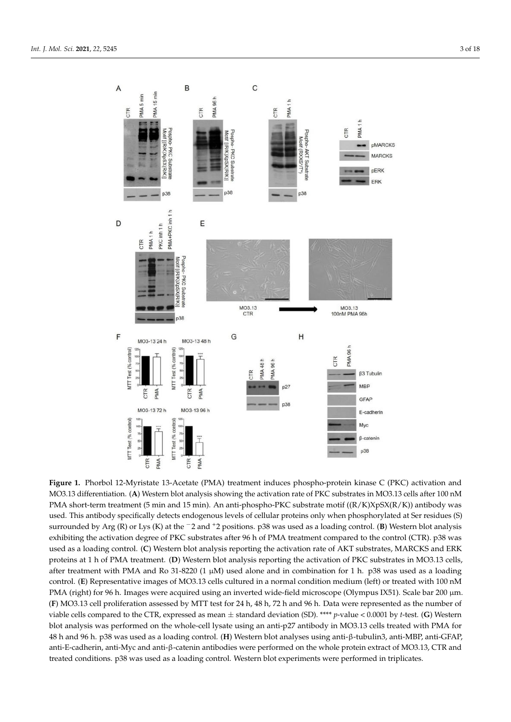

(R) or Lys (K) at the ⁻2 and ⁺2 positions. surrounded by Arg (R) or Lys (K) at the <sup>−</sup>2 and <sup>+</sup>2 positions. p38 was used as a loading control. (**B**) Western blot analysis after treatment with PMA and Ro 31-8220 (1  $\mu$ M) used alone and in combination for 1 h. p38 was used as a loading **Figure 1.** Phorbol 12-Myristate 13-Acetate (PMA) treatment induces phospho-protein kinase C (PKC) activation and MO3.13 differentiation. (A) Western blot analysis showing the activation rate of PKC substrates in MO3.13 c MO3.13 differentiation. (**A**) Western blot analysis showing the activation rate of PKC substrates in MO3.13 cells after 100 nM PMA short-term treatment (5 min and 15 min). An anti-phospho-PKC substrate motif ((R/K)XpSX(R/K)) antibody was used. This antibody specifically detects endogenous levels of cellular proteins only when phosphorylated at Ser residues (S) exhibiting the activation degree of PKC substrates after 96 h of PMA treatment compared to the control (CTR). p38 was used as a loading control. (**C**) Western blot analysis reporting the activation rate of AKT substrates, MARCKS and ERK proteins at 1 h of PMA treatment. (**D**) Western blot analysis reporting the activation of PKC substrates in MO3.13 cells, control. (**E**) Representative images of MO3.13 cells cultured in a normal condition medium (left) or treated with 100 nM PMA (right) for 96 h. Images were acquired using an inverted wide-field microscope (Olympus IX51). Scale bar 200 µm. (**F**) MO3.13 cell proliferation assessed by MTT test for 24 h, 48 h, 72 h and 96 h. Data were represented as the number of viable cells compared to the CTR, expressed as mean ± standard deviation (SD). \*\*\*\* *p*-value < 0.0001 by *t*-test. (**G**) Western blot analysis was performed on the whole-cell lysate using an anti-p27 antibody in MO3.13 cells treated with PMA for 48 h and 96 h. p38 was used as a loading control. (**H**) Western blot analyses using anti-β-tubulin3, anti-MBP, anti-GFAP, anti-E-cadherin, anti-Myc and anti-β-catenin antibodies were performed on the whole protein extract of MO3.13, CTR and treated conditions. p38 was used as a loading control. Western blot experiments were performed in triplicates.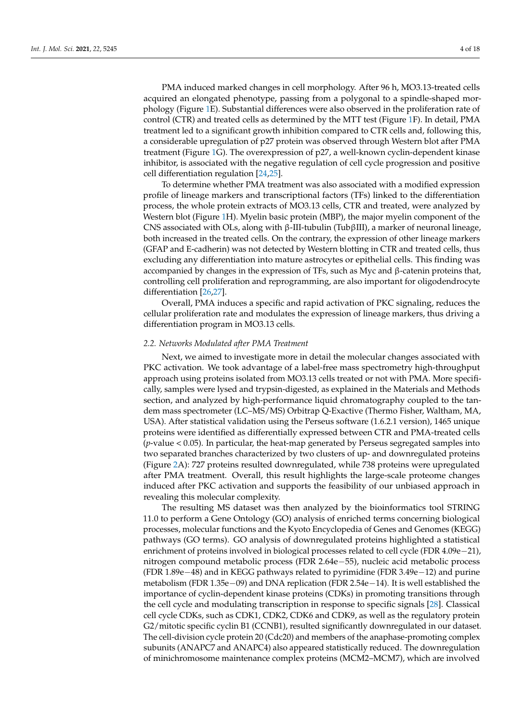PMA induced marked changes in cell morphology. After 96 h, MO3.13-treated cells acquired an elongated phenotype, passing from a polygonal to a spindle-shaped morphology (Figure 1E). Substantial differences were also observed in the proliferation rate of control (CTR) and treated cells as determined by the MTT test (Figure 1F). In detail, PMA treatment led to a significant growth inhibition compared to CTR cells and, following this, a considerable upregulation of p27 protein was observed through Western blot after PMA treatment (Figure 1G). The overexpression of p27, a well-known cyclin-dependent kinase inhibitor, is associated with the negative regulation of cell cycle progression and positive cell differentiation regulation [24,25].

To determine whether PMA treatment was also associated with a modified expression profile of lineage markers and transcriptional factors (TFs) linked to the differentiation process, the whole protein extracts of MO3.13 cells, CTR and treated, were analyzed by Western blot (Figure 1H). Myelin basic protein (MBP), the major myelin component of the CNS associated with OLs, along with β-III-tubulin (TubβIII), a marker of neuronal lineage, both increased in the treated cells. On the contrary, the expression of other lineage markers (GFAP and E-cadherin) was not detected by Western blotting in CTR and treated cells, thus excluding any differentiation into mature astrocytes or epithelial cells. This finding was accompanied by changes in the expression of TFs, such as Myc and β-catenin proteins that, controlling cell proliferation and reprogramming, are also important for oligodendrocyte differentiation [26,27].

Overall, PMA induces a specific and rapid activation of PKC signaling, reduces the cellular proliferation rate and modulates the expression of lineage markers, thus driving a differentiation program in MO3.13 cells.

# *2.2. Networks Modulated after PMA Treatment*

Next, we aimed to investigate more in detail the molecular changes associated with PKC activation. We took advantage of a label-free mass spectrometry high-throughput approach using proteins isolated from MO3.13 cells treated or not with PMA. More specifically, samples were lysed and trypsin-digested, as explained in the Materials and Methods section, and analyzed by high-performance liquid chromatography coupled to the tandem mass spectrometer (LC–MS/MS) Orbitrap Q-Exactive (Thermo Fisher, Waltham, MA, USA). After statistical validation using the Perseus software (1.6.2.1 version), 1465 unique proteins were identified as differentially expressed between CTR and PMA-treated cells (*p*-value < 0.05). In particular, the heat-map generated by Perseus segregated samples into two separated branches characterized by two clusters of up- and downregulated proteins (Figure 2A): 727 proteins resulted downregulated, while 738 proteins were upregulated after PMA treatment. Overall, this result highlights the large-scale proteome changes induced after PKC activation and supports the feasibility of our unbiased approach in revealing this molecular complexity.

The resulting MS dataset was then analyzed by the bioinformatics tool STRING 11.0 to perform a Gene Ontology (GO) analysis of enriched terms concerning biological processes, molecular functions and the Kyoto Encyclopedia of Genes and Genomes (KEGG) pathways (GO terms). GO analysis of downregulated proteins highlighted a statistical enrichment of proteins involved in biological processes related to cell cycle (FDR 4.09e−21), nitrogen compound metabolic process (FDR 2.64e−55), nucleic acid metabolic process (FDR 1.89e−48) and in KEGG pathways related to pyrimidine (FDR 3.49e−12) and purine metabolism (FDR 1.35e−09) and DNA replication (FDR 2.54e−14). It is well established the importance of cyclin-dependent kinase proteins (CDKs) in promoting transitions through the cell cycle and modulating transcription in response to specific signals [28]. Classical cell cycle CDKs, such as CDK1, CDK2, CDK6 and CDK9, as well as the regulatory protein G2/mitotic specific cyclin B1 (CCNB1), resulted significantly downregulated in our dataset. The cell-division cycle protein 20 (Cdc20) and members of the anaphase-promoting complex subunits (ANAPC7 and ANAPC4) also appeared statistically reduced. The downregulation of minichromosome maintenance complex proteins (MCM2–MCM7), which are involved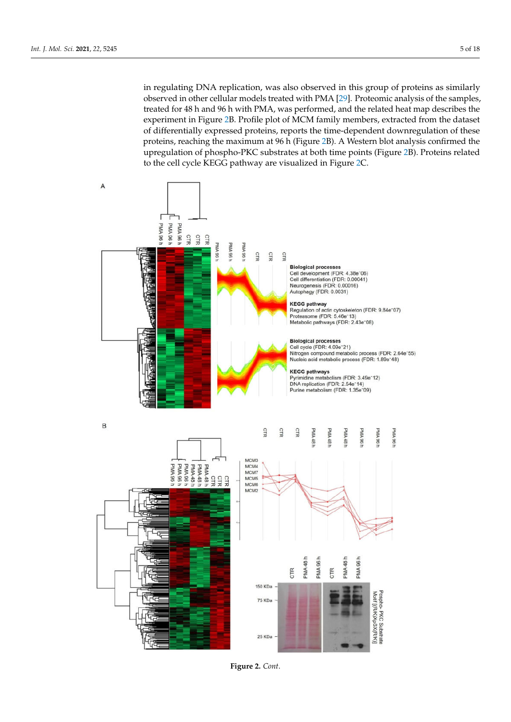in regulating DNA replication, was also observed in this group of proteins as similarly observed in other cellular models treated with PMA [29]. Proteomic analysis of the samples, treated for 48 h and 96 h with PMA, was performed, and the related heat map describes the experiment in Figure 2B. Profile plot of MCM family members, extracted from the dataset of differentially expressed proteins, reports the time-dependent downregulation of these proteins, reaching the maximum at 96 h (Figure 2B). A Western blot analysis confirmed the upregulation of phospho-PKC substrates at both time points (Figure 2B). Proteins related to the cell cycle KEGG pathway are visualized in Figure 2C.



**Figure 2.** *Cont*.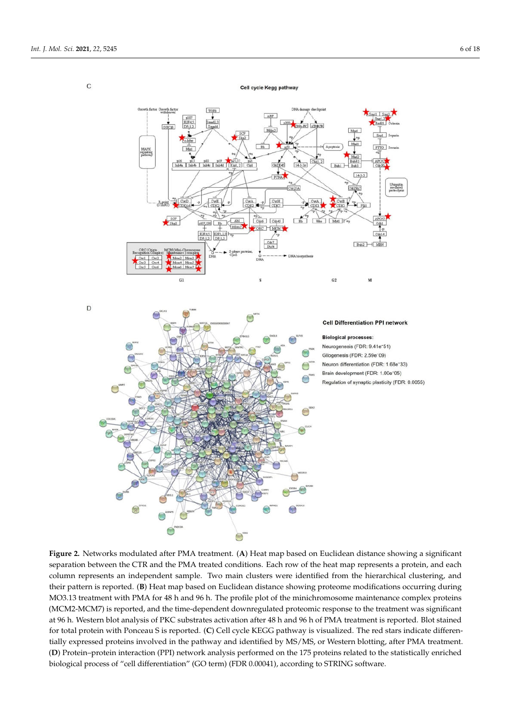$\mathsf{C}$ 



**Figure 2.** Networks modulated after PMA treatment. (**A**) Heat map based on Euclidean distance showing a significant separation between the CTR and the PMA treated conditions. Each row of the heat map represents a protein, and each column represents an independent sample. Two main clusters were identified from the hierarchical clustering, and their pattern is reported. (**B**) Heat map based on Euclidean distance showing proteome modifications occurring during MO3.13 treatment with PMA for 48 h and 96 h. The profile plot of the minichromosome maintenance complex proteins (MCM2-MCM7) is reported, and the time-dependent downregulated proteomic response to the treatment was significant at 96 h. Western blot analysis of PKC substrates activation after 48 h and 96 h of PMA treatment is reported. Blot stained for total protein with Ponceau S is reported. (**C**) Cell cycle KEGG pathway is visualized. The red stars indicate differentially expressed proteins involved in the pathway and identified by MS/MS, or Western blotting, after PMA treatment. (**D**) Protein–protein interaction (PPI) network analysis performed on the 175 proteins related to the statistically enriched biological process of "cell differentiation" (GO term) (FDR 0.00041), according to STRING software.

Cell cycle Kegg pathway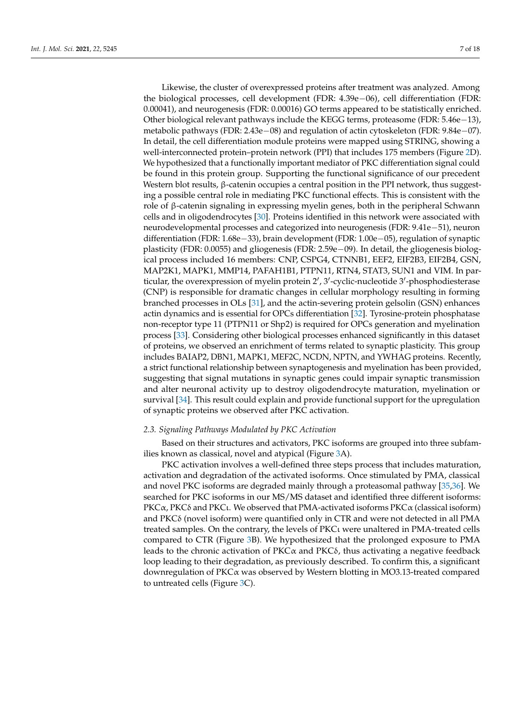Likewise, the cluster of overexpressed proteins after treatment was analyzed. Among the biological processes, cell development (FDR: 4.39e−06), cell differentiation (FDR: 0.00041), and neurogenesis (FDR: 0.00016) GO terms appeared to be statistically enriched. Other biological relevant pathways include the KEGG terms, proteasome (FDR: 5.46e−13), metabolic pathways (FDR: 2.43e−08) and regulation of actin cytoskeleton (FDR: 9.84e−07). In detail, the cell differentiation module proteins were mapped using STRING, showing a well-interconnected protein–protein network (PPI) that includes 175 members (Figure 2D). We hypothesized that a functionally important mediator of PKC differentiation signal could be found in this protein group. Supporting the functional significance of our precedent Western blot results, β-catenin occupies a central position in the PPI network, thus suggesting a possible central role in mediating PKC functional effects. This is consistent with the role of β-catenin signaling in expressing myelin genes, both in the peripheral Schwann cells and in oligodendrocytes [30]. Proteins identified in this network were associated with neurodevelopmental processes and categorized into neurogenesis (FDR: 9.41e−51), neuron differentiation (FDR: 1.68e−33), brain development (FDR: 1.00e−05), regulation of synaptic plasticity (FDR: 0.0055) and gliogenesis (FDR: 2.59e−09). In detail, the gliogenesis biological process included 16 members: CNP, CSPG4, CTNNB1, EEF2, EIF2B3, EIF2B4, GSN, MAP2K1, MAPK1, MMP14, PAFAH1B1, PTPN11, RTN4, STAT3, SUN1 and VIM. In particular, the overexpression of myelin protein 2', 3'-cyclic-nucleotide 3'-phosphodiesterase (CNP) is responsible for dramatic changes in cellular morphology resulting in forming branched processes in OLs [31], and the actin-severing protein gelsolin (GSN) enhances actin dynamics and is essential for OPCs differentiation [32]. Tyrosine-protein phosphatase non-receptor type 11 (PTPN11 or Shp2) is required for OPCs generation and myelination process [33]. Considering other biological processes enhanced significantly in this dataset of proteins, we observed an enrichment of terms related to synaptic plasticity. This group includes BAIAP2, DBN1, MAPK1, MEF2C, NCDN, NPTN, and YWHAG proteins. Recently, a strict functional relationship between synaptogenesis and myelination has been provided, suggesting that signal mutations in synaptic genes could impair synaptic transmission and alter neuronal activity up to destroy oligodendrocyte maturation, myelination or survival [34]. This result could explain and provide functional support for the upregulation of synaptic proteins we observed after PKC activation.

#### *2.3. Signaling Pathways Modulated by PKC Activation*

Based on their structures and activators, PKC isoforms are grouped into three subfamilies known as classical, novel and atypical (Figure 3A).

PKC activation involves a well-defined three steps process that includes maturation, activation and degradation of the activated isoforms. Once stimulated by PMA, classical and novel PKC isoforms are degraded mainly through a proteasomal pathway [35,36]. We searched for PKC isoforms in our MS/MS dataset and identified three different isoforms: PKCα, PKCδ and PKCι. We observed that PMA-activated isoforms PKCα (classical isoform) and PKCδ (novel isoform) were quantified only in CTR and were not detected in all PMA treated samples. On the contrary, the levels of PKCι were unaltered in PMA-treated cells compared to CTR (Figure 3B). We hypothesized that the prolonged exposure to PMA leads to the chronic activation of  $PKC\alpha$  and  $PKC\delta$ , thus activating a negative feedback loop leading to their degradation, as previously described. To confirm this, a significant downregulation of PKCα was observed by Western blotting in MO3.13-treated compared to untreated cells (Figure 3C).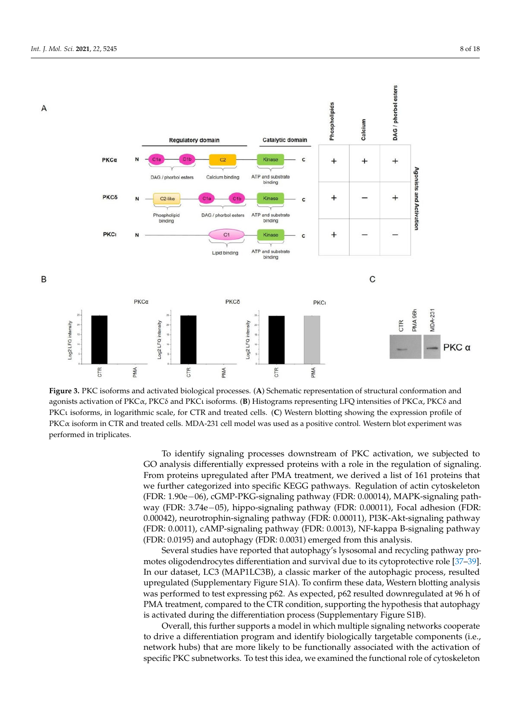

agonists activation of PKC $\alpha$ , PKC $\delta$  and PKCı isoforms. (**B**) Histograms representing LFQ intensities of PKC $\alpha$ , PKC $\delta$  and PKCι isoforms, in logarithmic scale, for CTR and treated cells. PKCι isoforms, in logarithmic scale, for CTR and treated cells. (**C**) Western blotting showing the expression profile of PKCα isoform in CTR and treated cells. MDA PKCα isoform in CTR and treated cells. MDA-231 cell model was used as a positive control. Western blot experiment was **Figure 3.** PKC isoforms and activated biological processes. (**A**) Schematic representation of structural conformation and performed in triplicates.

To identify signaling processes downstream of PKC activation, we subjected to GO analysis differentially expressed proteins with a role in the regulation of signaling. From proteins upregulated after PMA treatment, we derived a list of 161 proteins that we further categorized into specific KEGG pathways. Regulation of actin cytoskeleton (FDR: 1.90e−06), cGMP-PKG-signaling pathway (FDR: 0.00014), MAPK-signaling pathway (FDR: 3.74e−05), hippo-signaling pathway (FDR: 0.00011), Focal adhesion (FDR: 0.00042), neurotrophin-signaling pathway (FDR: 0.00011), PI3K-Akt-signaling pathway (FDR: 0.0011), cAMP-signaling pathway (FDR: 0.0013), NF-kappa B-signaling pathway (FDR: 0.0195) and autophagy (FDR: 0.0031) emerged from this analysis.

Several studies have reported that autophagy's lysosomal and recycling pathway promotes oligodendrocytes differentiation and survival due to its cytoprotective role [37–39]. In our dataset, LC3 (MAP1LC3B), a classic marker of the autophagic process, resulted upregulated (Supplementary Figure S1A). To confirm these data, Western blotting analysis was performed to test expressing p62. As expected, p62 resulted downregulated at 96 h of PMA treatment, compared to the CTR condition, supporting the hypothesis that autophagy is activated during the differentiation process (Supplementary Figure S1B).

Overall, this further supports a model in which multiple signaling networks cooperate to drive a differentiation program and identify biologically targetable components (i.e., network hubs) that are more likely to be functionally associated with the activation of specific PKC subnetworks. To test this idea, we examined the functional role of cytoskeleton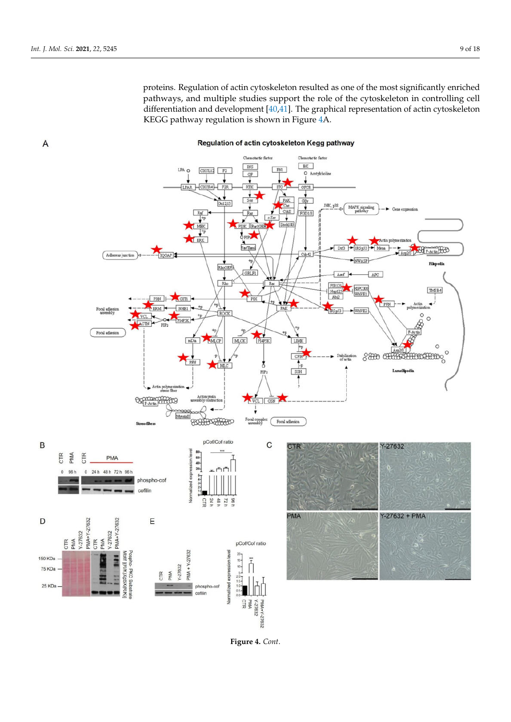

Regulation of actin cytoskeleton Kegg pathway

**Figure 4.** *Cont*.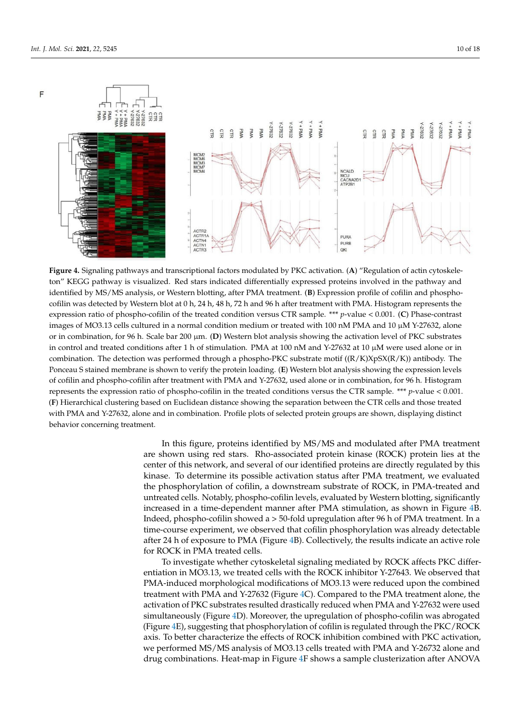

Figure 4. Signaling pathways and transcriptional factors modulated by PKC activation. (A) "Regulation of actin cytoskeleton" KEGG pathway is visualized. Red stars indicated differentially expressed proteins involved in the pathway and expression ratio of phospho-cofilin of the treated condition versus CTR sample. \*\*\*  $p$ -value < 0.001. (C) Phase-contrast images of MO3.13 cells cultured in a normal condition medium or treated with 100 nM PMA and 10  $\mu$ M Y-27632, alone or in combination, for 96 h. Scale bar 200 μm. (**D**) Western blot analysis showing the activation level of PKC substrates identified by MS/MS analysis, or Western blotting, after PMA treatment. (**B**) Expression profile of cofilin and phosphocofilin was detected by Western blot at 0 h, 24 h, 48 h, 72 h and 96 h after treatment with PMA. Histogram represents the in control and treated conditions after 1 h of stimulation. PMA at 100 nM and Y-27632 at 10 µM were used alone or in combination. The detection was performed through a phospho-PKC substrate motif ((R/K)XpSX(R/K)) antibody. The Ponceau S stained membrane is shown to verify the protein loading. (**E**) Western blot analysis showing the expression levels of cofilin and phospho-cofilin after treatment with PMA and Y-27632, used alone or in combination, for 96 h. Histogram represents the expression ratio of phospho-cofilin in the treated conditions versus the CTR sample. \*\*\* *p*-value < 0.001. (**F**) Hierarchical clustering based on Euclidean distance showing the separation between the CTR cells and those treated with PMA and Y-27632, alone and in combination. Profile plots of selected protein groups are shown, displaying distinct behavior concerning treatment.

In this figure, proteins identified by MS/MS and modulated after PMA treatment are shown using red stars. Rho-associated protein kinase (ROCK) protein lies at the center of this network, and several of our identified proteins are directly regulated by this kinase. To determine its possible activation status after PMA treatment, we evaluated the phosphorylation of cofilin, a downstream substrate of ROCK, in PMA-treated and untreated cells. Notably, phospho-cofilin levels, evaluated by Western blotting, significantly increased in a time-dependent manner after PMA stimulation, as shown in Figure 4B. Indeed, phospho-cofilin showed a > 50-fold upregulation after 96 h of PMA treatment. In a time-course experiment, we observed that cofilin phosphorylation was already detectable after 24 h of exposure to PMA (Figure 4B). Collectively, the results indicate an active role for ROCK in PMA treated cells.

To investigate whether cytoskeletal signaling mediated by ROCK affects PKC differentiation in MO3.13, we treated cells with the ROCK inhibitor Y-27643. We observed that PMA-induced morphological modifications of MO3.13 were reduced upon the combined treatment with PMA and Y-27632 (Figure 4C). Compared to the PMA treatment alone, the activation of PKC substrates resulted drastically reduced when PMA and Y-27632 were used simultaneously (Figure 4D). Moreover, the upregulation of phospho-cofilin was abrogated (Figure 4E), suggesting that phosphorylation of cofilin is regulated through the PKC/ROCK axis. To better characterize the effects of ROCK inhibition combined with PKC activation, we performed MS/MS analysis of MO3.13 cells treated with PMA and Y-26732 alone and drug combinations. Heat-map in Figure 4F shows a sample clusterization after ANOVA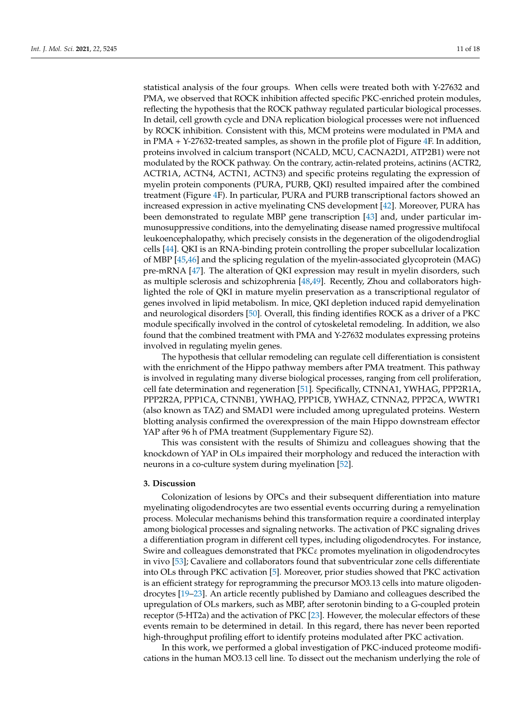statistical analysis of the four groups. When cells were treated both with Y-27632 and PMA, we observed that ROCK inhibition affected specific PKC-enriched protein modules, reflecting the hypothesis that the ROCK pathway regulated particular biological processes. In detail, cell growth cycle and DNA replication biological processes were not influenced by ROCK inhibition. Consistent with this, MCM proteins were modulated in PMA and in PMA + Y-27632-treated samples, as shown in the profile plot of Figure 4F. In addition, proteins involved in calcium transport (NCALD, MCU, CACNA2D1, ATP2B1) were not modulated by the ROCK pathway. On the contrary, actin-related proteins, actinins (ACTR2, ACTR1A, ACTN4, ACTN1, ACTN3) and specific proteins regulating the expression of myelin protein components (PURA, PURB, QKI) resulted impaired after the combined treatment (Figure 4F). In particular, PURA and PURB transcriptional factors showed an increased expression in active myelinating CNS development [42]. Moreover, PURA has been demonstrated to regulate MBP gene transcription [43] and, under particular immunosuppressive conditions, into the demyelinating disease named progressive multifocal leukoencephalopathy, which precisely consists in the degeneration of the oligodendroglial cells [44]. QKI is an RNA-binding protein controlling the proper subcellular localization of MBP [45,46] and the splicing regulation of the myelin-associated glycoprotein (MAG) pre-mRNA [47]. The alteration of QKI expression may result in myelin disorders, such as multiple sclerosis and schizophrenia [48,49]. Recently, Zhou and collaborators highlighted the role of QKI in mature myelin preservation as a transcriptional regulator of genes involved in lipid metabolism. In mice, QKI depletion induced rapid demyelination and neurological disorders [50]. Overall, this finding identifies ROCK as a driver of a PKC module specifically involved in the control of cytoskeletal remodeling. In addition, we also found that the combined treatment with PMA and Y-27632 modulates expressing proteins involved in regulating myelin genes.

The hypothesis that cellular remodeling can regulate cell differentiation is consistent with the enrichment of the Hippo pathway members after PMA treatment. This pathway is involved in regulating many diverse biological processes, ranging from cell proliferation, cell fate determination and regeneration [51]. Specifically, CTNNA1, YWHAG, PPP2R1A, PPP2R2A, PPP1CA, CTNNB1, YWHAQ, PPP1CB, YWHAZ, CTNNA2, PPP2CA, WWTR1 (also known as TAZ) and SMAD1 were included among upregulated proteins. Western blotting analysis confirmed the overexpression of the main Hippo downstream effector YAP after 96 h of PMA treatment (Supplementary Figure S2).

This was consistent with the results of Shimizu and colleagues showing that the knockdown of YAP in OLs impaired their morphology and reduced the interaction with neurons in a co-culture system during myelination [52].

# **3. Discussion**

Colonization of lesions by OPCs and their subsequent differentiation into mature myelinating oligodendrocytes are two essential events occurring during a remyelination process. Molecular mechanisms behind this transformation require a coordinated interplay among biological processes and signaling networks. The activation of PKC signaling drives a differentiation program in different cell types, including oligodendrocytes. For instance, Swire and colleagues demonstrated that PKCε promotes myelination in oligodendrocytes in vivo [53]; Cavaliere and collaborators found that subventricular zone cells differentiate into OLs through PKC activation [5]. Moreover, prior studies showed that PKC activation is an efficient strategy for reprogramming the precursor MO3.13 cells into mature oligodendrocytes [19–23]. An article recently published by Damiano and colleagues described the upregulation of OLs markers, such as MBP, after serotonin binding to a G-coupled protein receptor (5-HT2a) and the activation of PKC [23]. However, the molecular effectors of these events remain to be determined in detail. In this regard, there has never been reported high-throughput profiling effort to identify proteins modulated after PKC activation.

In this work, we performed a global investigation of PKC-induced proteome modifications in the human MO3.13 cell line. To dissect out the mechanism underlying the role of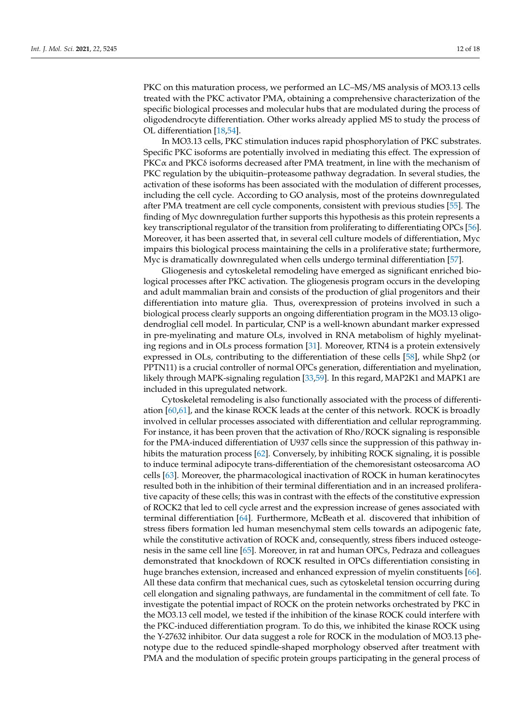PKC on this maturation process, we performed an LC–MS/MS analysis of MO3.13 cells treated with the PKC activator PMA, obtaining a comprehensive characterization of the specific biological processes and molecular hubs that are modulated during the process of oligodendrocyte differentiation. Other works already applied MS to study the process of OL differentiation [18,54].

In MO3.13 cells, PKC stimulation induces rapid phosphorylation of PKC substrates. Specific PKC isoforms are potentially involved in mediating this effect. The expression of  $PKC\alpha$  and PKC $\delta$  isoforms decreased after PMA treatment, in line with the mechanism of PKC regulation by the ubiquitin–proteasome pathway degradation. In several studies, the activation of these isoforms has been associated with the modulation of different processes, including the cell cycle. According to GO analysis, most of the proteins downregulated after PMA treatment are cell cycle components, consistent with previous studies [55]. The finding of Myc downregulation further supports this hypothesis as this protein represents a key transcriptional regulator of the transition from proliferating to differentiating OPCs [56]. Moreover, it has been asserted that, in several cell culture models of differentiation, Myc impairs this biological process maintaining the cells in a proliferative state; furthermore, Myc is dramatically downregulated when cells undergo terminal differentiation [57].

Gliogenesis and cytoskeletal remodeling have emerged as significant enriched biological processes after PKC activation. The gliogenesis program occurs in the developing and adult mammalian brain and consists of the production of glial progenitors and their differentiation into mature glia. Thus, overexpression of proteins involved in such a biological process clearly supports an ongoing differentiation program in the MO3.13 oligodendroglial cell model. In particular, CNP is a well-known abundant marker expressed in pre-myelinating and mature OLs, involved in RNA metabolism of highly myelinating regions and in OLs process formation [31]. Moreover, RTN4 is a protein extensively expressed in OLs, contributing to the differentiation of these cells [58], while Shp2 (or PPTN11) is a crucial controller of normal OPCs generation, differentiation and myelination, likely through MAPK-signaling regulation [33,59]. In this regard, MAP2K1 and MAPK1 are included in this upregulated network.

Cytoskeletal remodeling is also functionally associated with the process of differentiation [60,61], and the kinase ROCK leads at the center of this network. ROCK is broadly involved in cellular processes associated with differentiation and cellular reprogramming. For instance, it has been proven that the activation of Rho/ROCK signaling is responsible for the PMA-induced differentiation of U937 cells since the suppression of this pathway inhibits the maturation process [62]. Conversely, by inhibiting ROCK signaling, it is possible to induce terminal adipocyte trans-differentiation of the chemoresistant osteosarcoma AO cells [63]. Moreover, the pharmacological inactivation of ROCK in human keratinocytes resulted both in the inhibition of their terminal differentiation and in an increased proliferative capacity of these cells; this was in contrast with the effects of the constitutive expression of ROCK2 that led to cell cycle arrest and the expression increase of genes associated with terminal differentiation [64]. Furthermore, McBeath et al. discovered that inhibition of stress fibers formation led human mesenchymal stem cells towards an adipogenic fate, while the constitutive activation of ROCK and, consequently, stress fibers induced osteogenesis in the same cell line [65]. Moreover, in rat and human OPCs, Pedraza and colleagues demonstrated that knockdown of ROCK resulted in OPCs differentiation consisting in huge branches extension, increased and enhanced expression of myelin constituents [66]. All these data confirm that mechanical cues, such as cytoskeletal tension occurring during cell elongation and signaling pathways, are fundamental in the commitment of cell fate. To investigate the potential impact of ROCK on the protein networks orchestrated by PKC in the MO3.13 cell model, we tested if the inhibition of the kinase ROCK could interfere with the PKC-induced differentiation program. To do this, we inhibited the kinase ROCK using the Y-27632 inhibitor. Our data suggest a role for ROCK in the modulation of MO3.13 phenotype due to the reduced spindle-shaped morphology observed after treatment with PMA and the modulation of specific protein groups participating in the general process of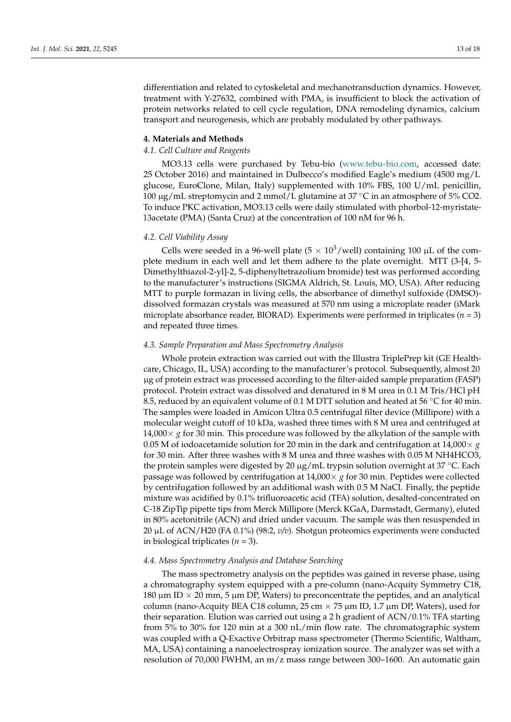differentiation and related to cytoskeletal and mechanotransduction dynamics. However, treatment with Y-27632, combined with PMA, is insufficient to block the activation of protein networks related to cell cycle regulation, DNA remodeling dynamics, calcium transport and neurogenesis, which are probably modulated by other pathways.

# **4. Materials and Methods**

#### *4.1. Cell Culture and Reagents*

MO3.13 cells were purchased by Tebu-bio (www.tebu-bio.com, accessed date: 25 October 2016) and maintained in Dulbecco's modified Eagle's medium (4500 mg/L glucose, EuroClone, Milan, Italy) supplemented with 10% FBS, 100 U/mL penicillin, <sup>100</sup> <sup>µ</sup>g/mL streptomycin and 2 mmol/L glutamine at 37 ◦C in an atmosphere of 5% CO2. To induce PKC activation, MO3.13 cells were daily stimulated with phorbol-12-myristate-13acetate (PMA) (Santa Cruz) at the concentration of 100 nM for 96 h.

#### *4.2. Cell Viability Assay*

Cells were seeded in a 96-well plate  $(5 \times 10^3/\text{well})$  containing 100 µL of the complete medium in each well and let them adhere to the plate overnight. MTT (3-[4, 5- Dimethylthiazol-2-yl]-2, 5-diphenyltetrazolium bromide) test was performed according to the manufacturer's instructions (SIGMA Aldrich, St. Louis, MO, USA). After reducing MTT to purple formazan in living cells, the absorbance of dimethyl sulfoxide (DMSO) dissolved formazan crystals was measured at 570 nm using a microplate reader (iMark microplate absorbance reader, BIORAD). Experiments were performed in triplicates ( $n = 3$ ) and repeated three times.

#### *4.3. Sample Preparation and Mass Spectrometry Analysis*

Whole protein extraction was carried out with the Illustra TriplePrep kit (GE Healthcare, Chicago, IL, USA) according to the manufacturer's protocol. Subsequently, almost 20 µg of protein extract was processed according to the filter-aided sample preparation (FASP) protocol. Protein extract was dissolved and denatured in 8 M urea in 0.1 M Tris/HCl pH 8.5, reduced by an equivalent volume of 0.1 M DTT solution and heated at 56 ◦C for 40 min. The samples were loaded in Amicon Ultra 0.5 centrifugal filter device (Millipore) with a molecular weight cutoff of 10 kDa, washed three times with 8 M urea and centrifuged at 14,000 $\times$  *g* for 30 min. This procedure was followed by the alkylation of the sample with 0.05 M of iodoacetamide solution for 20 min in the dark and centrifugation at 14,000 $\times$  *g* for 30 min. After three washes with 8 M urea and three washes with 0.05 M NH4HCO3, the protein samples were digested by 20  $\mu$ g/mL trypsin solution overnight at 37 °C. Each passage was followed by centrifugation at  $14,000 \times g$  for 30 min. Peptides were collected by centrifugation followed by an additional wash with 0.5 M NaCl. Finally, the peptide mixture was acidified by 0.1% trifluoroacetic acid (TFA) solution, desalted-concentrated on C-18 ZipTip pipette tips from Merck Millipore (Merck KGaA, Darmstadt, Germany), eluted in 80% acetonitrile (ACN) and dried under vacuum. The sample was then resuspended in 20 µL of ACN/H20 (FA 0.1%) (98:2, *v/v*). Shotgun proteomics experiments were conducted in biological triplicates (*n* = 3).

# *4.4. Mass Spectrometry Analysis and Database Searching*

The mass spectrometry analysis on the peptides was gained in reverse phase, using a chromatography system equipped with a pre-column (nano-Acquity Symmetry C18, 180  $\mu$ m ID  $\times$  20 mm, 5  $\mu$ m DP, Waters) to preconcentrate the peptides, and an analytical column (nano-Acquity BEA C18 column, 25 cm  $\times$  75  $\mu$ m ID, 1.7  $\mu$ m DP, Waters), used for their separation. Elution was carried out using a 2 h gradient of ACN/0.1% TFA starting from 5% to 30% for 120 min at a 300 nL/min flow rate. The chromatographic system was coupled with a Q-Exactive Orbitrap mass spectrometer (Thermo Scientific, Waltham, MA, USA) containing a nanoelectrospray ionization source. The analyzer was set with a resolution of 70,000 FWHM, an m/z mass range between 300–1600. An automatic gain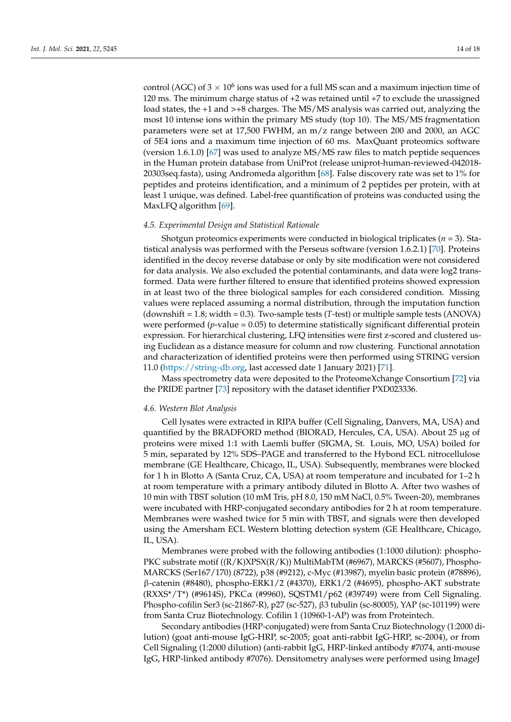control (AGC) of  $3 \times 10^6$  ions was used for a full MS scan and a maximum injection time of 120 ms. The minimum charge status of +2 was retained until +7 to exclude the unassigned load states, the +1 and >+8 charges. The MS/MS analysis was carried out, analyzing the most 10 intense ions within the primary MS study (top 10). The MS/MS fragmentation parameters were set at 17,500 FWHM, an m/z range between 200 and 2000, an AGC of 5E4 ions and a maximum time injection of 60 ms. MaxQuant proteomics software (version 1.6.1.0) [67] was used to analyze MS/MS raw files to match peptide sequences in the Human protein database from UniProt (release uniprot-human-reviewed-042018- 20303seq.fasta), using Andromeda algorithm [68]. False discovery rate was set to 1% for peptides and proteins identification, and a minimum of 2 peptides per protein, with at least 1 unique, was defined. Label-free quantification of proteins was conducted using the MaxLFQ algorithm [69].

### *4.5. Experimental Design and Statistical Rationale*

Shotgun proteomics experiments were conducted in biological triplicates (*n* = 3). Statistical analysis was performed with the Perseus software (version 1.6.2.1) [70]. Proteins identified in the decoy reverse database or only by site modification were not considered for data analysis. We also excluded the potential contaminants, and data were log2 transformed. Data were further filtered to ensure that identified proteins showed expression in at least two of the three biological samples for each considered condition. Missing values were replaced assuming a normal distribution, through the imputation function (downshift = 1.8; width = 0.3). Two-sample tests (*T*-test) or multiple sample tests (ANOVA) were performed (*p*-value = 0.05) to determine statistically significant differential protein expression. For hierarchical clustering, LFQ intensities were first z-scored and clustered using Euclidean as a distance measure for column and row clustering. Functional annotation and characterization of identified proteins were then performed using STRING version 11.0 (https://string-db.org, last accessed date 1 January 2021) [71].

Mass spectrometry data were deposited to the ProteomeXchange Consortium [72] via the PRIDE partner [73] repository with the dataset identifier PXD023336.

#### *4.6. Western Blot Analysis*

Cell lysates were extracted in RIPA buffer (Cell Signaling, Danvers, MA, USA) and quantified by the BRADFORD method (BIORAD, Hercules, CA, USA). About 25 µg of proteins were mixed 1:1 with Laemli buffer (SIGMA, St. Louis, MO, USA) boiled for 5 min, separated by 12% SDS–PAGE and transferred to the Hybond ECL nitrocellulose membrane (GE Healthcare, Chicago, IL, USA). Subsequently, membranes were blocked for 1 h in Blotto A (Santa Cruz, CA, USA) at room temperature and incubated for 1–2 h at room temperature with a primary antibody diluted in Blotto A. After two washes of 10 min with TBST solution (10 mM Tris, pH 8.0, 150 mM NaCl, 0.5% Tween-20), membranes were incubated with HRP-conjugated secondary antibodies for 2 h at room temperature. Membranes were washed twice for 5 min with TBST, and signals were then developed using the Amersham ECL Western blotting detection system (GE Healthcare, Chicago, IL, USA).

Membranes were probed with the following antibodies (1:1000 dilution): phospho-PKC substrate motif ((R/K)XPSX(R/K)) MultiMabTM (#6967), MARCKS (#5607), Phospho-MARCKS (Ser167/170) (8722), p38 (#9212), c-Myc (#13987), myelin basic protein (#78896), β-catenin (#8480), phospho-ERK1/2 (#4370), ERK1/2 (#4695), phospho-AKT substrate (RXXS\*/T\*) (#9614S), PKCα (#9960), SQSTM1/p62 (#39749) were from Cell Signaling. Phospho-cofilin Ser3 (sc-21867-R), p27 (sc-527), β3 tubulin (sc-80005), YAP (sc-101199) were from Santa Cruz Biotechnology. Cofilin 1 (10960-1-AP) was from Proteintech.

Secondary antibodies (HRP-conjugated) were from Santa Cruz Biotechnology (1:2000 dilution) (goat anti-mouse IgG-HRP, sc-2005; goat anti-rabbit IgG-HRP, sc-2004), or from Cell Signaling (1:2000 dilution) (anti-rabbit IgG, HRP-linked antibody #7074, anti-mouse IgG, HRP-linked antibody #7076). Densitometry analyses were performed using ImageJ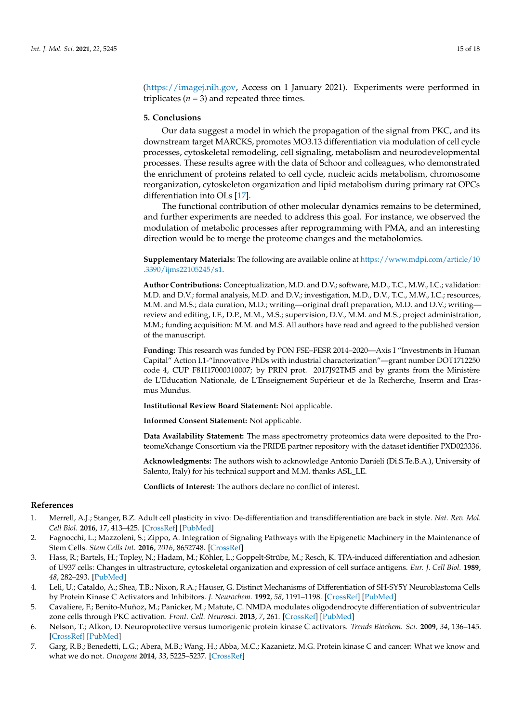(https://imagej.nih.gov, Access on 1 January 2021). Experiments were performed in triplicates  $(n = 3)$  and repeated three times.

# **5. Conclusions**

Our data suggest a model in which the propagation of the signal from PKC, and its downstream target MARCKS, promotes MO3.13 differentiation via modulation of cell cycle processes, cytoskeletal remodeling, cell signaling, metabolism and neurodevelopmental processes. These results agree with the data of Schoor and colleagues, who demonstrated the enrichment of proteins related to cell cycle, nucleic acids metabolism, chromosome reorganization, cytoskeleton organization and lipid metabolism during primary rat OPCs differentiation into OLs [17].

The functional contribution of other molecular dynamics remains to be determined, and further experiments are needed to address this goal. For instance, we observed the modulation of metabolic processes after reprogramming with PMA, and an interesting direction would be to merge the proteome changes and the metabolomics.

**Supplementary Materials:** The following are available online at https://www.mdpi.com/article/10 .3390/ijms22105245/s1.

**Author Contributions:** Conceptualization, M.D. and D.V.; software, M.D., T.C., M.W., I.C.; validation: M.D. and D.V.; formal analysis, M.D. and D.V.; investigation, M.D., D.V., T.C., M.W., I.C.; resources, M.M. and M.S.; data curation, M.D.; writing—original draft preparation, M.D. and D.V.; writing review and editing, I.F., D.P., M.M., M.S.; supervision, D.V., M.M. and M.S.; project administration, M.M.; funding acquisition: M.M. and M.S. All authors have read and agreed to the published version of the manuscript.

**Funding:** This research was funded by PON FSE–FESR 2014–2020—Axis I "Investments in Human Capital" Action I.1-"Innovative PhDs with industrial characterization"—grant number DOT1712250 code 4, CUP F81I17000310007; by PRIN prot. 2017J92TM5 and by grants from the Ministère de L'Education Nationale, de L'Enseignement Supérieur et de la Recherche, Inserm and Erasmus Mundus.

**Institutional Review Board Statement:** Not applicable.

**Informed Consent Statement:** Not applicable.

**Data Availability Statement:** The mass spectrometry proteomics data were deposited to the ProteomeXchange Consortium via the PRIDE partner repository with the dataset identifier PXD023336.

**Acknowledgments:** The authors wish to acknowledge Antonio Danieli (Di.S.Te.B.A.), University of Salento, Italy) for his technical support and M.M. thanks ASL\_LE.

**Conflicts of Interest:** The authors declare no conflict of interest.

# **References**

- 1. Merrell, A.J.; Stanger, B.Z. Adult cell plasticity in vivo: De-differentiation and transdifferentiation are back in style. *Nat. Rev. Mol. Cell Biol.* **2016**, *17*, 413–425. [CrossRef] [PubMed]
- 2. Fagnocchi, L.; Mazzoleni, S.; Zippo, A. Integration of Signaling Pathways with the Epigenetic Machinery in the Maintenance of Stem Cells. *Stem Cells Int.* **2016**, *2016*, 8652748. [CrossRef]
- 3. Hass, R.; Bartels, H.; Topley, N.; Hadam, M.; Köhler, L.; Goppelt-Strübe, M.; Resch, K. TPA-induced differentiation and adhesion of U937 cells: Changes in ultrastructure, cytoskeletal organization and expression of cell surface antigens. *Eur. J. Cell Biol.* **1989**, *48*, 282–293. [PubMed]
- 4. Leli, U.; Cataldo, A.; Shea, T.B.; Nixon, R.A.; Hauser, G. Distinct Mechanisms of Differentiation of SH-SY5Y Neuroblastoma Cells by Protein Kinase C Activators and Inhibitors. *J. Neurochem.* **1992**, *58*, 1191–1198. [CrossRef] [PubMed]
- 5. Cavaliere, F.; Benito-Muñoz, M.; Panicker, M.; Matute, C. NMDA modulates oligodendrocyte differentiation of subventricular zone cells through PKC activation. *Front. Cell. Neurosci.* **2013**, *7*, 261. [CrossRef] [PubMed]
- 6. Nelson, T.; Alkon, D. Neuroprotective versus tumorigenic protein kinase C activators. *Trends Biochem. Sci.* **2009**, *34*, 136–145. [CrossRef] [PubMed]
- 7. Garg, R.B.; Benedetti, L.G.; Abera, M.B.; Wang, H.; Abba, M.C.; Kazanietz, M.G. Protein kinase C and cancer: What we know and what we do not. *Oncogene* **2014**, *33*, 5225–5237. [CrossRef]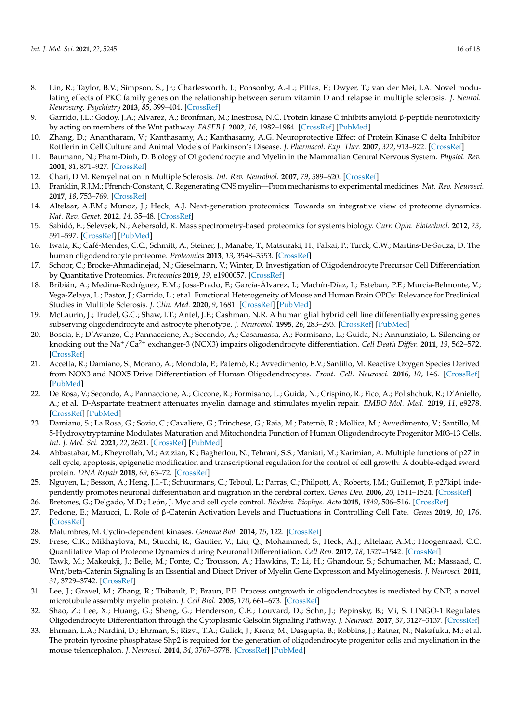- 8. Lin, R.; Taylor, B.V.; Simpson, S., Jr.; Charlesworth, J.; Ponsonby, A.-L.; Pittas, F.; Dwyer, T.; van der Mei, I.A. Novel modulating effects of PKC family genes on the relationship between serum vitamin D and relapse in multiple sclerosis. *J. Neurol. Neurosurg. Psychiatry* **2013**, *85*, 399–404. [CrossRef]
- 9. Garrido, J.L.; Godoy, J.A.; Alvarez, A.; Bronfman, M.; Inestrosa, N.C. Protein kinase C inhibits amyloid β-peptide neurotoxicity by acting on members of the Wnt pathway. *FASEB J.* **2002**, *16*, 1982–1984. [CrossRef] [PubMed]
- 10. Zhang, D.; Anantharam, V.; Kanthasamy, A.; Kanthasamy, A.G. Neuroprotective Effect of Protein Kinase C delta Inhibitor Rottlerin in Cell Culture and Animal Models of Parkinson's Disease. *J. Pharmacol. Exp. Ther.* **2007**, *322*, 913–922. [CrossRef]
- 11. Baumann, N.; Pham-Dinh, D. Biology of Oligodendrocyte and Myelin in the Mammalian Central Nervous System. *Physiol. Rev.* **2001**, *81*, 871–927. [CrossRef]
- 12. Chari, D.M. Remyelination in Multiple Sclerosis. *Int. Rev. Neurobiol.* **2007**, *79*, 589–620. [CrossRef]
- 13. Franklin, R.J.M.; Ffrench-Constant, C. Regenerating CNS myelin—From mechanisms to experimental medicines. *Nat. Rev. Neurosci.* **2017**, *18*, 753–769. [CrossRef]
- 14. Altelaar, A.F.M.; Munoz, J.; Heck, A.J. Next-generation proteomics: Towards an integrative view of proteome dynamics. *Nat. Rev. Genet.* **2012**, *14*, 35–48. [CrossRef]
- 15. Sabidó, E.; Selevsek, N.; Aebersold, R. Mass spectrometry-based proteomics for systems biology. *Curr. Opin. Biotechnol.* **2012**, *23*, 591–597. [CrossRef] [PubMed]
- 16. Iwata, K.; Café-Mendes, C.C.; Schmitt, A.; Steiner, J.; Manabe, T.; Matsuzaki, H.; Falkai, P.; Turck, C.W.; Martins-De-Souza, D. The human oligodendrocyte proteome. *Proteomics* **2013**, *13*, 3548–3553. [CrossRef]
- 17. Schoor, C.; Brocke-Ahmadinejad, N.; Gieselmann, V.; Winter, D. Investigation of Oligodendrocyte Precursor Cell Differentiation by Quantitative Proteomics. *Proteomics* **2019**, *19*, e1900057. [CrossRef]
- 18. Bribián, A.; Medina-Rodríguez, E.M.; Josa-Prado, F.; García-Álvarez, I.; Machín-Díaz, I.; Esteban, P.F.; Murcia-Belmonte, V.; Vega-Zelaya, L.; Pastor, J.; Garrido, L.; et al. Functional Heterogeneity of Mouse and Human Brain OPCs: Relevance for Preclinical Studies in Multiple Sclerosis. *J. Clin. Med.* **2020**, *9*, 1681. [CrossRef] [PubMed]
- 19. McLaurin, J.; Trudel, G.C.; Shaw, I.T.; Antel, J.P.; Cashman, N.R. A human glial hybrid cell line differentially expressing genes subserving oligodendrocyte and astrocyte phenotype. *J. Neurobiol.* **1995**, *26*, 283–293. [CrossRef] [PubMed]
- 20. Boscia, F.; D'Avanzo, C.; Pannaccione, A.; Secondo, A.; Casamassa, A.; Formisano, L.; Guida, N.; Annunziato, L. Silencing or knocking out the Na+/Ca2+ exchanger-3 (NCX3) impairs oligodendrocyte differentiation. *Cell Death Differ.* **2011**, *19*, 562–572. [CrossRef]
- 21. Accetta, R.; Damiano, S.; Morano, A.; Mondola, P.; Paternò, R.; Avvedimento, E.V.; Santillo, M. Reactive Oxygen Species Derived from NOX3 and NOX5 Drive Differentiation of Human Oligodendrocytes. *Front. Cell. Neurosci.* **2016**, *10*, 146. [CrossRef] [PubMed]
- 22. De Rosa, V.; Secondo, A.; Pannaccione, A.; Ciccone, R.; Formisano, L.; Guida, N.; Crispino, R.; Fico, A.; Polishchuk, R.; D'Aniello, A.; et al. D-Aspartate treatment attenuates myelin damage and stimulates myelin repair. *EMBO Mol. Med.* **2019**, *11*, e9278. [CrossRef] [PubMed]
- 23. Damiano, S.; La Rosa, G.; Sozio, C.; Cavaliere, G.; Trinchese, G.; Raia, M.; Paternò, R.; Mollica, M.; Avvedimento, V.; Santillo, M. 5-Hydroxytryptamine Modulates Maturation and Mitochondria Function of Human Oligodendrocyte Progenitor M03-13 Cells. *Int. J. Mol. Sci.* **2021**, *22*, 2621. [CrossRef] [PubMed]
- 24. Abbastabar, M.; Kheyrollah, M.; Azizian, K.; Bagherlou, N.; Tehrani, S.S.; Maniati, M.; Karimian, A. Multiple functions of p27 in cell cycle, apoptosis, epigenetic modification and transcriptional regulation for the control of cell growth: A double-edged sword protein. *DNA Repair* **2018**, *69*, 63–72. [CrossRef]
- 25. Nguyen, L.; Besson, A.; Heng, J.I.-T.; Schuurmans, C.; Teboul, L.; Parras, C.; Philpott, A.; Roberts, J.M.; Guillemot, F. p27kip1 independently promotes neuronal differentiation and migration in the cerebral cortex. *Genes Dev.* **2006**, *20*, 1511–1524. [CrossRef]
- 26. Bretones, G.; Delgado, M.D.; León, J. Myc and cell cycle control. *Biochim. Biophys. Acta* **2015**, *1849*, 506–516. [CrossRef]
- 27. Pedone, E.; Marucci, L. Role of β-Catenin Activation Levels and Fluctuations in Controlling Cell Fate. *Genes* **2019**, *10*, 176. [CrossRef]
- 28. Malumbres, M. Cyclin-dependent kinases. *Genome Biol.* **2014**, *15*, 122. [CrossRef]
- 29. Frese, C.K.; Mikhaylova, M.; Stucchi, R.; Gautier, V.; Liu, Q.; Mohammed, S.; Heck, A.J.; Altelaar, A.M.; Hoogenraad, C.C. Quantitative Map of Proteome Dynamics during Neuronal Differentiation. *Cell Rep.* **2017**, *18*, 1527–1542. [CrossRef]
- 30. Tawk, M.; Makoukji, J.; Belle, M.; Fonte, C.; Trousson, A.; Hawkins, T.; Li, H.; Ghandour, S.; Schumacher, M.; Massaad, C. Wnt/beta-Catenin Signaling Is an Essential and Direct Driver of Myelin Gene Expression and Myelinogenesis. *J. Neurosci.* **2011**, *31*, 3729–3742. [CrossRef]
- 31. Lee, J.; Gravel, M.; Zhang, R.; Thibault, P.; Braun, P.E. Process outgrowth in oligodendrocytes is mediated by CNP, a novel microtubule assembly myelin protein. *J. Cell Biol.* **2005**, *170*, 661–673. [CrossRef]
- 32. Shao, Z.; Lee, X.; Huang, G.; Sheng, G.; Henderson, C.E.; Louvard, D.; Sohn, J.; Pepinsky, B.; Mi, S. LINGO-1 Regulates Oligodendrocyte Differentiation through the Cytoplasmic Gelsolin Signaling Pathway. *J. Neurosci.* **2017**, *37*, 3127–3137. [CrossRef]
- 33. Ehrman, L.A.; Nardini, D.; Ehrman, S.; Rizvi, T.A.; Gulick, J.; Krenz, M.; Dasgupta, B.; Robbins, J.; Ratner, N.; Nakafuku, M.; et al. The protein tyrosine phosphatase Shp2 is required for the generation of oligodendrocyte progenitor cells and myelination in the mouse telencephalon. *J. Neurosci.* **2014**, *34*, 3767–3778. [CrossRef] [PubMed]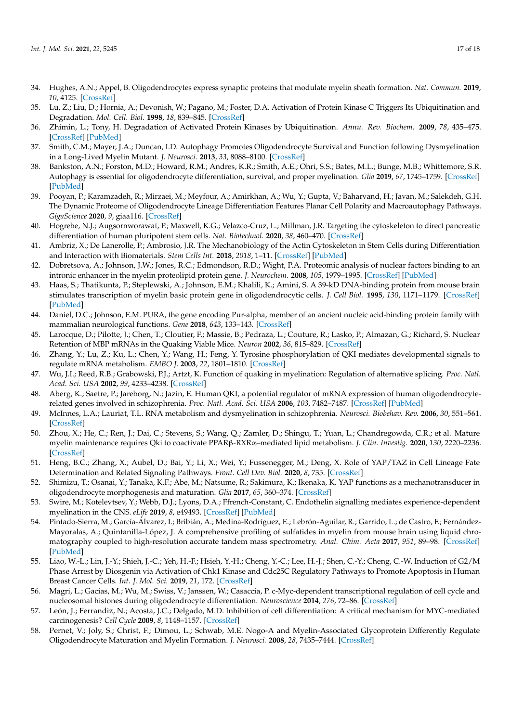- 34. Hughes, A.N.; Appel, B. Oligodendrocytes express synaptic proteins that modulate myelin sheath formation. *Nat. Commun.* **2019**, *10*, 4125. [CrossRef]
- 35. Lu, Z.; Liu, D.; Hornia, A.; Devonish, W.; Pagano, M.; Foster, D.A. Activation of Protein Kinase C Triggers Its Ubiquitination and Degradation. *Mol. Cell. Biol.* **1998**, *18*, 839–845. [CrossRef]
- 36. Zhimin, L.; Tony, H. Degradation of Activated Protein Kinases by Ubiquitination. *Annu. Rev. Biochem.* **2009**, *78*, 435–475. [CrossRef] [PubMed]
- 37. Smith, C.M.; Mayer, J.A.; Duncan, I.D. Autophagy Promotes Oligodendrocyte Survival and Function following Dysmyelination in a Long-Lived Myelin Mutant. *J. Neurosci.* **2013**, *33*, 8088–8100. [CrossRef]
- 38. Bankston, A.N.; Forston, M.D.; Howard, R.M.; Andres, K.R.; Smith, A.E.; Ohri, S.S.; Bates, M.L.; Bunge, M.B.; Whittemore, S.R. Autophagy is essential for oligodendrocyte differentiation, survival, and proper myelination. *Glia* **2019**, *67*, 1745–1759. [CrossRef] [PubMed]
- 39. Pooyan, P.; Karamzadeh, R.; Mirzaei, M.; Meyfour, A.; Amirkhan, A.; Wu, Y.; Gupta, V.; Baharvand, H.; Javan, M.; Salekdeh, G.H. The Dynamic Proteome of Oligodendrocyte Lineage Differentiation Features Planar Cell Polarity and Macroautophagy Pathways. *GigaScience* **2020**, *9*, giaa116. [CrossRef]
- 40. Hogrebe, N.J.; Augsornworawat, P.; Maxwell, K.G.; Velazco-Cruz, L.; Millman, J.R. Targeting the cytoskeleton to direct pancreatic differentiation of human pluripotent stem cells. *Nat. Biotechnol.* **2020**, *38*, 460–470. [CrossRef]
- 41. Ambriz, X.; De Lanerolle, P.; Ambrosio, J.R. The Mechanobiology of the Actin Cytoskeleton in Stem Cells during Differentiation and Interaction with Biomaterials. *Stem Cells Int.* **2018**, *2018*, 1–11. [CrossRef] [PubMed]
- 42. Dobretsova, A.; Johnson, J.W.; Jones, R.C.; Edmondson, R.D.; Wight, P.A. Proteomic analysis of nuclear factors binding to an intronic enhancer in the myelin proteolipid protein gene. *J. Neurochem.* **2008**, *105*, 1979–1995. [CrossRef] [PubMed]
- 43. Haas, S.; Thatikunta, P.; Steplewski, A.; Johnson, E.M.; Khalili, K.; Amini, S. A 39-kD DNA-binding protein from mouse brain stimulates transcription of myelin basic protein gene in oligodendrocytic cells. *J. Cell Biol.* **1995**, *130*, 1171–1179. [CrossRef] [PubMed]
- 44. Daniel, D.C.; Johnson, E.M. PURA, the gene encoding Pur-alpha, member of an ancient nucleic acid-binding protein family with mammalian neurological functions. *Gene* **2018**, *643*, 133–143. [CrossRef]
- 45. Larocque, D.; Pilotte, J.; Chen, T.; Cloutier, F.; Massie, B.; Pedraza, L.; Couture, R.; Lasko, P.; Almazan, G.; Richard, S. Nuclear Retention of MBP mRNAs in the Quaking Viable Mice. *Neuron* **2002**, *36*, 815–829. [CrossRef]
- 46. Zhang, Y.; Lu, Z.; Ku, L.; Chen, Y.; Wang, H.; Feng, Y. Tyrosine phosphorylation of QKI mediates developmental signals to regulate mRNA metabolism. *EMBO J.* **2003**, *22*, 1801–1810. [CrossRef]
- 47. Wu, J.I.; Reed, R.B.; Grabowski, P.J.; Artzt, K. Function of quaking in myelination: Regulation of alternative splicing. *Proc. Natl. Acad. Sci. USA* **2002**, *99*, 4233–4238. [CrossRef]
- 48. Aberg, K.; Saetre, P.; Jareborg, N.; Jazin, E. Human QKI, a potential regulator of mRNA expression of human oligodendrocyterelated genes involved in schizophrenia. *Proc. Natl. Acad. Sci. USA* **2006**, *103*, 7482–7487. [CrossRef] [PubMed]
- 49. McInnes, L.A.; Lauriat, T.L. RNA metabolism and dysmyelination in schizophrenia. *Neurosci. Biobehav. Rev.* **2006**, *30*, 551–561. [CrossRef]
- 50. Zhou, X.; He, C.; Ren, J.; Dai, C.; Stevens, S.; Wang, Q.; Zamler, D.; Shingu, T.; Yuan, L.; Chandregowda, C.R.; et al. Mature myelin maintenance requires Qki to coactivate PPARβ-RXRα–mediated lipid metabolism. *J. Clin. Investig.* **2020**, *130*, 2220–2236. [CrossRef]
- 51. Heng, B.C.; Zhang, X.; Aubel, D.; Bai, Y.; Li, X.; Wei, Y.; Fussenegger, M.; Deng, X. Role of YAP/TAZ in Cell Lineage Fate Determination and Related Signaling Pathways. *Front. Cell Dev. Biol.* **2020**, *8*, 735. [CrossRef]
- 52. Shimizu, T.; Osanai, Y.; Tanaka, K.F.; Abe, M.; Natsume, R.; Sakimura, K.; Ikenaka, K. YAP functions as a mechanotransducer in oligodendrocyte morphogenesis and maturation. *Glia* **2017**, *65*, 360–374. [CrossRef]
- 53. Swire, M.; Kotelevtsev, Y.; Webb, D.J.; Lyons, D.A.; Ffrench-Constant, C. Endothelin signalling mediates experience-dependent myelination in the CNS. *eLife* **2019**, *8*, e49493. [CrossRef] [PubMed]
- 54. Pintado-Sierra, M.; García-Álvarez, I.; Bribián, A.; Medina-Rodríguez, E.; Lebrón-Aguilar, R.; Garrido, L.; de Castro, F.; Fernández-Mayoralas, A.; Quintanilla-López, J. A comprehensive profiling of sulfatides in myelin from mouse brain using liquid chromatography coupled to high-resolution accurate tandem mass spectrometry. *Anal. Chim. Acta* **2017**, *951*, 89–98. [CrossRef] [PubMed]
- 55. Liao, W.-L.; Lin, J.-Y.; Shieh, J.-C.; Yeh, H.-F.; Hsieh, Y.-H.; Cheng, Y.-C.; Lee, H.-J.; Shen, C.-Y.; Cheng, C.-W. Induction of G2/M Phase Arrest by Diosgenin via Activation of Chk1 Kinase and Cdc25C Regulatory Pathways to Promote Apoptosis in Human Breast Cancer Cells. *Int. J. Mol. Sci.* **2019**, *21*, 172. [CrossRef]
- 56. Magri, L.; Gacias, M.; Wu, M.; Swiss, V.; Janssen, W.; Casaccia, P. c-Myc-dependent transcriptional regulation of cell cycle and nucleosomal histones during oligodendrocyte differentiation. *Neuroscience* **2014**, *276*, 72–86. [CrossRef]
- 57. León, J.; Ferrandiz, N.; Acosta, J.C.; Delgado, M.D. Inhibition of cell differentiation: A critical mechanism for MYC-mediated carcinogenesis? *Cell Cycle* **2009**, *8*, 1148–1157. [CrossRef]
- 58. Pernet, V.; Joly, S.; Christ, F.; Dimou, L.; Schwab, M.E. Nogo-A and Myelin-Associated Glycoprotein Differently Regulate Oligodendrocyte Maturation and Myelin Formation. *J. Neurosci.* **2008**, *28*, 7435–7444. [CrossRef]